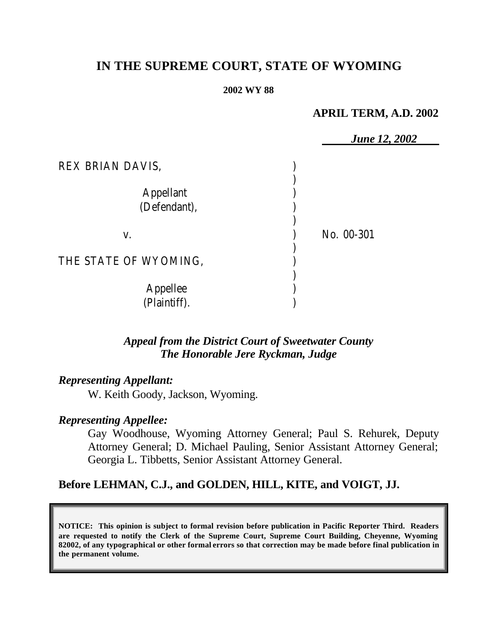# **IN THE SUPREME COURT, STATE OF WYOMING**

#### **2002 WY 88**

## **APRIL TERM, A.D. 2002**

|                                                      | <b>June 12, 2002</b> |
|------------------------------------------------------|----------------------|
| REX BRIAN DAVIS,<br><b>Appellant</b><br>(Defendant), |                      |
| V.                                                   | No. 00-301           |
| THE STATE OF WYOMING,                                |                      |
| Appellee<br>(Plaintiff).                             |                      |

## *Appeal from the District Court of Sweetwater County The Honorable Jere Ryckman, Judge*

## *Representing Appellant:*

W. Keith Goody, Jackson, Wyoming.

### *Representing Appellee:*

Gay Woodhouse, Wyoming Attorney General; Paul S. Rehurek, Deputy Attorney General; D. Michael Pauling, Senior Assistant Attorney General; Georgia L. Tibbetts, Senior Assistant Attorney General.

## **Before LEHMAN, C.J., and GOLDEN, HILL, KITE, and VOIGT, JJ.**

**NOTICE: This opinion is subject to formal revision before publication in Pacific Reporter Third. Readers are requested to notify the Clerk of the Supreme Court, Supreme Court Building, Cheyenne, Wyoming 82002, of any typographical or other formal errors so that correction may be made before final publication in the permanent volume.**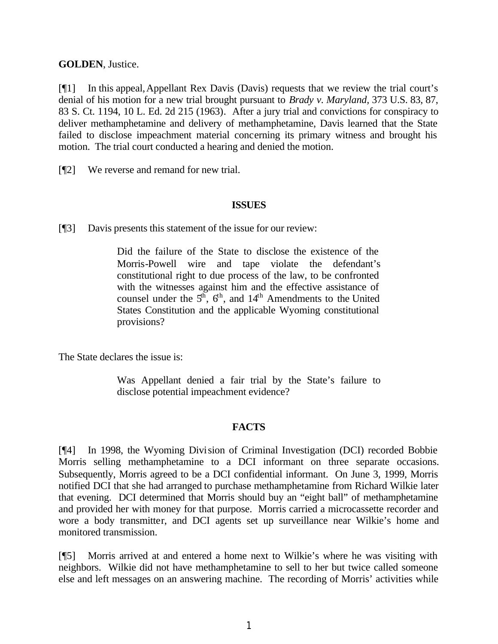**GOLDEN**, Justice.

[¶1] In this appeal,Appellant Rex Davis (Davis) requests that we review the trial court's denial of his motion for a new trial brought pursuant to *Brady v. Maryland,* 373 U.S. 83, 87, 83 S. Ct. 1194, 10 L. Ed. 2d 215 (1963)*.* After a jury trial and convictions for conspiracy to deliver methamphetamine and delivery of methamphetamine, Davis learned that the State failed to disclose impeachment material concerning its primary witness and brought his motion. The trial court conducted a hearing and denied the motion.

[¶2] We reverse and remand for new trial.

## **ISSUES**

[¶3] Davis presents this statement of the issue for our review:

Did the failure of the State to disclose the existence of the Morris-Powell wire and tape violate the defendant's constitutional right to due process of the law, to be confronted with the witnesses against him and the effective assistance of counsel under the  $5<sup>th</sup>$ ,  $6<sup>th</sup>$ , and  $14<sup>th</sup>$  Amendments to the United States Constitution and the applicable Wyoming constitutional provisions?

The State declares the issue is:

Was Appellant denied a fair trial by the State's failure to disclose potential impeachment evidence?

## **FACTS**

[¶4] In 1998, the Wyoming Division of Criminal Investigation (DCI) recorded Bobbie Morris selling methamphetamine to a DCI informant on three separate occasions. Subsequently, Morris agreed to be a DCI confidential informant. On June 3, 1999, Morris notified DCI that she had arranged to purchase methamphetamine from Richard Wilkie later that evening. DCI determined that Morris should buy an "eight ball" of methamphetamine and provided her with money for that purpose. Morris carried a microcassette recorder and wore a body transmitter, and DCI agents set up surveillance near Wilkie's home and monitored transmission.

[¶5] Morris arrived at and entered a home next to Wilkie's where he was visiting with neighbors. Wilkie did not have methamphetamine to sell to her but twice called someone else and left messages on an answering machine. The recording of Morris' activities while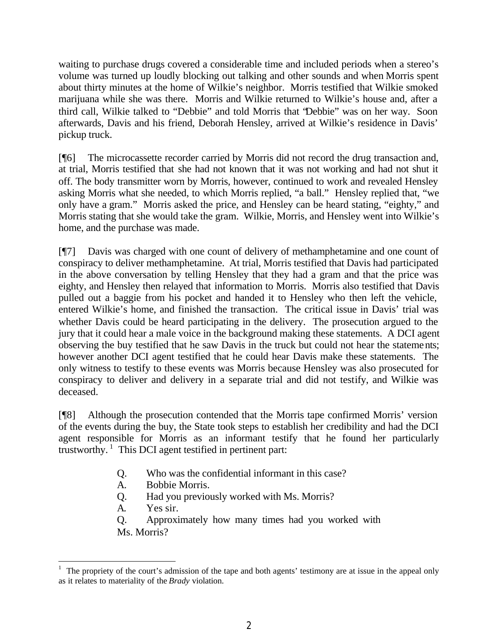waiting to purchase drugs covered a considerable time and included periods when a stereo's volume was turned up loudly blocking out talking and other sounds and when Morris spent about thirty minutes at the home of Wilkie's neighbor. Morris testified that Wilkie smoked marijuana while she was there. Morris and Wilkie returned to Wilkie's house and, after a third call, Wilkie talked to "Debbie" and told Morris that "Debbie" was on her way. Soon afterwards, Davis and his friend, Deborah Hensley, arrived at Wilkie's residence in Davis' pickup truck.

[¶6] The microcassette recorder carried by Morris did not record the drug transaction and, at trial, Morris testified that she had not known that it was not working and had not shut it off. The body transmitter worn by Morris, however, continued to work and revealed Hensley asking Morris what she needed, to which Morris replied, "a ball." Hensley replied that, "we only have a gram." Morris asked the price, and Hensley can be heard stating, "eighty," and Morris stating that she would take the gram. Wilkie, Morris, and Hensley went into Wilkie's home, and the purchase was made.

[¶7] Davis was charged with one count of delivery of methamphetamine and one count of conspiracy to deliver methamphetamine. At trial, Morris testified that Davis had participated in the above conversation by telling Hensley that they had a gram and that the price was eighty, and Hensley then relayed that information to Morris. Morris also testified that Davis pulled out a baggie from his pocket and handed it to Hensley who then left the vehicle, entered Wilkie's home, and finished the transaction. The critical issue in Davis' trial was whether Davis could be heard participating in the delivery. The prosecution argued to the jury that it could hear a male voice in the background making these statements. A DCI agent observing the buy testified that he saw Davis in the truck but could not hear the statements; however another DCI agent testified that he could hear Davis make these statements. The only witness to testify to these events was Morris because Hensley was also prosecuted for conspiracy to deliver and delivery in a separate trial and did not testify, and Wilkie was deceased.

[¶8] Although the prosecution contended that the Morris tape confirmed Morris' version of the events during the buy, the State took steps to establish her credibility and had the DCI agent responsible for Morris as an informant testify that he found her particularly trustworthy.<sup>1</sup> This DCI agent testified in pertinent part:

- Q. Who was the confidential informant in this case?
- A. Bobbie Morris.
- Q. Had you previously worked with Ms. Morris?
- A. Yes sir.

Q. Approximately how many times had you worked with Ms. Morris?

 $<sup>1</sup>$  The propriety of the court's admission of the tape and both agents' testimony are at issue in the appeal only</sup> as it relates to materiality of the *Brady* violation.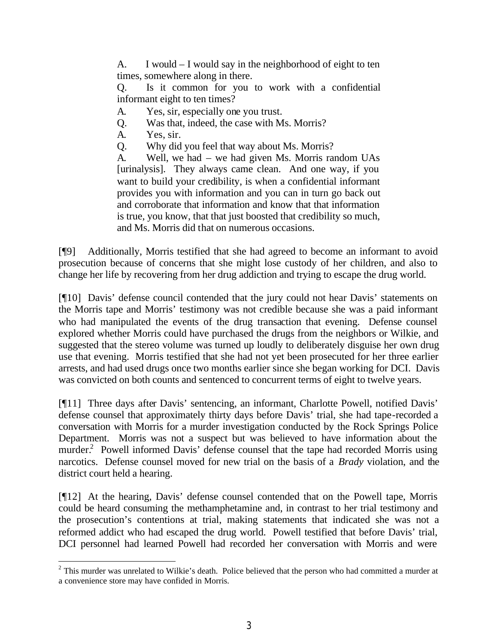A. I would – I would say in the neighborhood of eight to ten times, somewhere along in there.

Q. Is it common for you to work with a confidential informant eight to ten times?

- A. Yes, sir, especially one you trust.
- Q. Was that, indeed, the case with Ms. Morris?
- A. Yes, sir.
- Q. Why did you feel that way about Ms. Morris?

A. Well, we had – we had given Ms. Morris random UAs [urinalysis]. They always came clean. And one way, if you want to build your credibility, is when a confidential informant provides you with information and you can in turn go back out and corroborate that information and know that that information is true, you know, that that just boosted that credibility so much, and Ms. Morris did that on numerous occasions.

[¶9] Additionally, Morris testified that she had agreed to become an informant to avoid prosecution because of concerns that she might lose custody of her children, and also to change her life by recovering from her drug addiction and trying to escape the drug world.

[¶10] Davis' defense council contended that the jury could not hear Davis' statements on the Morris tape and Morris' testimony was not credible because she was a paid informant who had manipulated the events of the drug transaction that evening. Defense counsel explored whether Morris could have purchased the drugs from the neighbors or Wilkie, and suggested that the stereo volume was turned up loudly to deliberately disguise her own drug use that evening. Morris testified that she had not yet been prosecuted for her three earlier arrests, and had used drugs once two months earlier since she began working for DCI. Davis was convicted on both counts and sentenced to concurrent terms of eight to twelve years.

[¶11] Three days after Davis' sentencing, an informant, Charlotte Powell, notified Davis' defense counsel that approximately thirty days before Davis' trial, she had tape-recorded a conversation with Morris for a murder investigation conducted by the Rock Springs Police Department. Morris was not a suspect but was believed to have information about the murder.<sup>2</sup> Powell informed Davis' defense counsel that the tape had recorded Morris using narcotics. Defense counsel moved for new trial on the basis of a *Brady* violation, and the district court held a hearing.

[¶12] At the hearing, Davis' defense counsel contended that on the Powell tape, Morris could be heard consuming the methamphetamine and, in contrast to her trial testimony and the prosecution's contentions at trial, making statements that indicated she was not a reformed addict who had escaped the drug world. Powell testified that before Davis' trial, DCI personnel had learned Powell had recorded her conversation with Morris and were

<sup>&</sup>lt;sup>2</sup> This murder was unrelated to Wilkie's death. Police believed that the person who had committed a murder at a convenience store may have confided in Morris.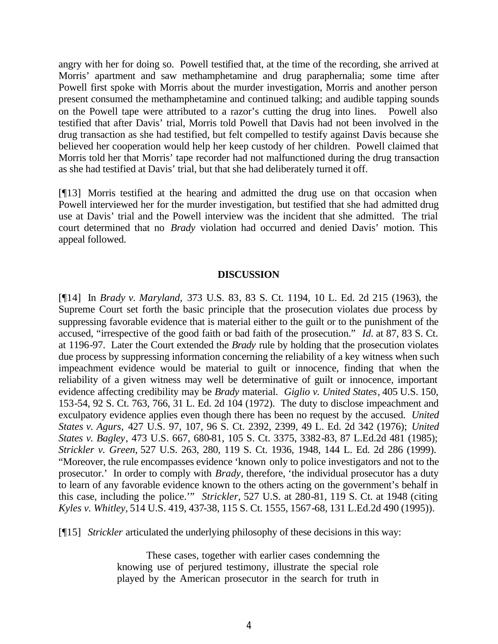angry with her for doing so. Powell testified that, at the time of the recording, she arrived at Morris' apartment and saw methamphetamine and drug paraphernalia; some time after Powell first spoke with Morris about the murder investigation, Morris and another person present consumed the methamphetamine and continued talking; and audible tapping sounds on the Powell tape were attributed to a razor's cutting the drug into lines. Powell also testified that after Davis' trial, Morris told Powell that Davis had not been involved in the drug transaction as she had testified, but felt compelled to testify against Davis because she believed her cooperation would help her keep custody of her children. Powell claimed that Morris told her that Morris' tape recorder had not malfunctioned during the drug transaction as she had testified at Davis' trial, but that she had deliberately turned it off.

[¶13] Morris testified at the hearing and admitted the drug use on that occasion when Powell interviewed her for the murder investigation, but testified that she had admitted drug use at Davis' trial and the Powell interview was the incident that she admitted. The trial court determined that no *Brady* violation had occurred and denied Davis' motion. This appeal followed.

#### **DISCUSSION**

[¶14] In *Brady v. Maryland,* 373 U.S. 83, 83 S. Ct. 1194, 10 L. Ed. 2d 215 (1963), the Supreme Court set forth the basic principle that the prosecution violates due process by suppressing favorable evidence that is material either to the guilt or to the punishment of the accused, "irrespective of the good faith or bad faith of the prosecution." *Id.* at 87, 83 S. Ct. at 1196-97. Later the Court extended the *Brady* rule by holding that the prosecution violates due process by suppressing information concerning the reliability of a key witness when such impeachment evidence would be material to guilt or innocence, finding that when the reliability of a given witness may well be determinative of guilt or innocence, important evidence affecting credibility may be *Brady* material. *Giglio v. United States,* 405 U.S. 150, 153-54, 92 S. Ct. 763, 766, 31 L. Ed. 2d 104 (1972). The duty to disclose impeachment and exculpatory evidence applies even though there has been no request by the accused. *United States v. Agurs,* 427 U.S. 97, 107, 96 S. Ct. 2392, 2399, 49 L. Ed. 2d 342 (1976); *United States v. Bagley*, 473 U.S. 667, 680-81, 105 S. Ct. 3375, 3382-83, 87 L.Ed.2d 481 (1985); *Strickler v. Green,* 527 U.S. 263, 280, 119 S. Ct. 1936, 1948, 144 L. Ed. 2d 286 (1999). "Moreover, the rule encompasses evidence 'known only to police investigators and not to the prosecutor.' In order to comply with *Brady*, therefore, 'the individual prosecutor has a duty to learn of any favorable evidence known to the others acting on the government's behalf in this case, including the police.'" *Strickler,* 527 U.S. at 280-81, 119 S. Ct. at 1948 (citing *Kyles v. Whitley,* 514 U.S. 419, 437-38, 115 S. Ct. 1555, 1567-68, 131 L.Ed.2d 490 (1995)).

[¶15] *Strickler* articulated the underlying philosophy of these decisions in this way:

These cases, together with earlier cases condemning the knowing use of perjured testimony, illustrate the special role played by the American prosecutor in the search for truth in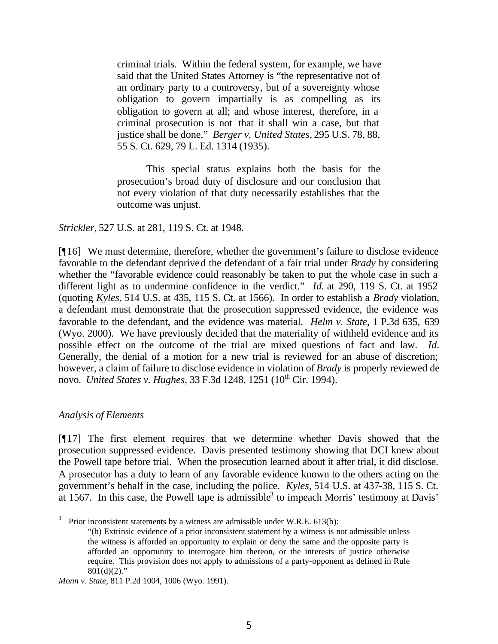criminal trials. Within the federal system, for example, we have said that the United States Attorney is "the representative not of an ordinary party to a controversy, but of a sovereignty whose obligation to govern impartially is as compelling as its obligation to govern at all; and whose interest, therefore, in a criminal prosecution is not that it shall win a case, but that justice shall be done." *Berger v. United States,* 295 U.S. 78, 88, 55 S. Ct. 629, 79 L. Ed. 1314 (1935).

This special status explains both the basis for the prosecution's broad duty of disclosure and our conclusion that not every violation of that duty necessarily establishes that the outcome was unjust.

#### *Strickler,* 527 U.S. at 281, 119 S. Ct. at 1948.

[¶16] We must determine, therefore, whether the government's failure to disclose evidence favorable to the defendant deprived the defendant of a fair trial under *Brady* by considering whether the "favorable evidence could reasonably be taken to put the whole case in such a different light as to undermine confidence in the verdict." *Id.* at 290, 119 S. Ct. at 1952 (quoting *Kyles,* 514 U.S. at 435, 115 S. Ct. at 1566). In order to establish a *Brady* violation, a defendant must demonstrate that the prosecution suppressed evidence, the evidence was favorable to the defendant, and the evidence was material. *Helm v. State*, 1 P.3d 635, 639 (Wyo. 2000). We have previously decided that the materiality of withheld evidence and its possible effect on the outcome of the trial are mixed questions of fact and law. *Id.* Generally, the denial of a motion for a new trial is reviewed for an abuse of discretion; however, a claim of failure to disclose evidence in violation of *Brady* is properly reviewed de novo. *United States v. Hughes, 33 F.3d 1248, 1251* (10<sup>th</sup> Cir. 1994).

### *Analysis of Elements*

[¶17] The first element requires that we determine whether Davis showed that the prosecution suppressed evidence. Davis presented testimony showing that DCI knew about the Powell tape before trial. When the prosecution learned about it after trial, it did disclose. A prosecutor has a duty to learn of any favorable evidence known to the others acting on the government's behalf in the case, including the police. *Kyles,* 514 U.S. at 437-38, 115 S. Ct. at 1567. In this case, the Powell tape is admissible<sup>3</sup> to impeach Morris' testimony at Davis'

<sup>3</sup> Prior inconsistent statements by a witness are admissible under W.R.E. 613(b):

<sup>&</sup>quot;(b) Extrinsic evidence of a prior inconsistent statement by a witness is not admissible unless the witness is afforded an opportunity to explain or deny the same and the opposite party is afforded an opportunity to interrogate him thereon, or the interests of justice otherwise require. This provision does not apply to admissions of a party-opponent as defined in Rule  $801(d)(2)$ ."

*Monn v. State*, 811 P.2d 1004, 1006 (Wyo. 1991).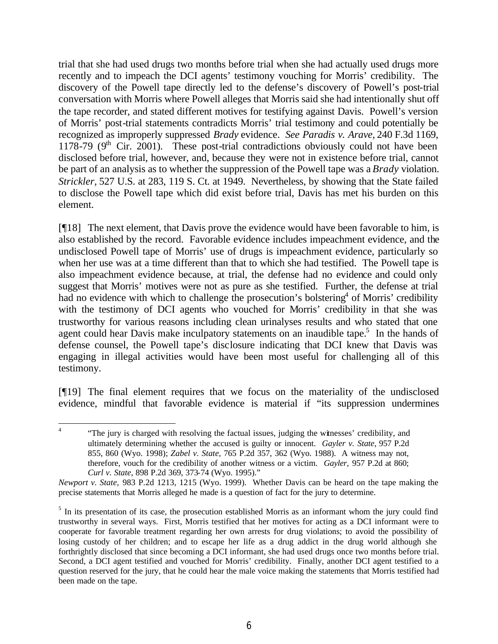trial that she had used drugs two months before trial when she had actually used drugs more recently and to impeach the DCI agents' testimony vouching for Morris' credibility. The discovery of the Powell tape directly led to the defense's discovery of Powell's post-trial conversation with Morris where Powell alleges that Morris said she had intentionally shut off the tape recorder, and stated different motives for testifying against Davis. Powell's version of Morris' post-trial statements contradicts Morris' trial testimony and could potentially be recognized as improperly suppressed *Brady* evidence. *See Paradis v. Arave,* 240 F.3d 1169, 1178-79 ( $9<sup>th</sup>$  Cir. 2001). These post-trial contradictions obviously could not have been disclosed before trial, however, and, because they were not in existence before trial, cannot be part of an analysis as to whether the suppression of the Powell tape was a *Brady* violation. *Strickler,* 527 U.S. at 283, 119 S. Ct. at 1949. Nevertheless, by showing that the State failed to disclose the Powell tape which did exist before trial, Davis has met his burden on this element.

[¶18] The next element, that Davis prove the evidence would have been favorable to him, is also established by the record. Favorable evidence includes impeachment evidence, and the undisclosed Powell tape of Morris' use of drugs is impeachment evidence, particularly so when her use was at a time different than that to which she had testified. The Powell tape is also impeachment evidence because, at trial, the defense had no evidence and could only suggest that Morris' motives were not as pure as she testified. Further, the defense at trial had no evidence with which to challenge the prosecution's bolstering<sup>4</sup> of Morris' credibility with the testimony of DCI agents who vouched for Morris' credibility in that she was trustworthy for various reasons including clean urinalyses results and who stated that one agent could hear Davis make inculpatory statements on an inaudible tape.<sup>5</sup> In the hands of defense counsel, the Powell tape's disclosure indicating that DCI knew that Davis was engaging in illegal activities would have been most useful for challenging all of this testimony.

[¶19] The final element requires that we focus on the materiality of the undisclosed evidence, mindful that favorable evidence is material if "its suppression undermines

 4 "The jury is charged with resolving the factual issues, judging the witnesses' credibility, and ultimately determining whether the accused is guilty or innocent. *Gayler v. State*, 957 P.2d 855, 860 (Wyo. 1998); *Zabel v. State*, 765 P.2d 357, 362 (Wyo. 1988). A witness may not, therefore, vouch for the credibility of another witness or a victim. *Gayler,* 957 P.2d at 860; *Curl v. State*, 898 P.2d 369, 373-74 (Wyo. 1995)."

*Newport v. State,* 983 P.2d 1213, 1215 (Wyo. 1999). Whether Davis can be heard on the tape making the precise statements that Morris alleged he made is a question of fact for the jury to determine.

 $<sup>5</sup>$  In its presentation of its case, the prosecution established Morris as an informant whom the jury could find</sup> trustworthy in several ways. First, Morris testified that her motives for acting as a DCI informant were to cooperate for favorable treatment regarding her own arrests for drug violations; to avoid the possibility of losing custody of her children; and to escape her life as a drug addict in the drug world although she forthrightly disclosed that since becoming a DCI informant, she had used drugs once two months before trial. Second, a DCI agent testified and vouched for Morris' credibility. Finally, another DCI agent testified to a question reserved for the jury, that he could hear the male voice making the statements that Morris testified had been made on the tape.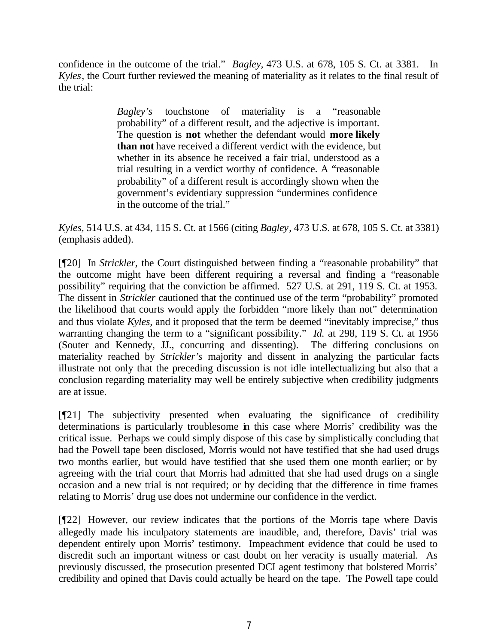confidence in the outcome of the trial." *Bagley,* 473 U.S. at 678, 105 S. Ct. at 3381. In *Kyles*, the Court further reviewed the meaning of materiality as it relates to the final result of the trial:

> *Bagley's* touchstone of materiality is a "reasonable probability" of a different result, and the adjective is important. The question is **not** whether the defendant would **more likely than not** have received a different verdict with the evidence, but whether in its absence he received a fair trial, understood as a trial resulting in a verdict worthy of confidence. A "reasonable probability" of a different result is accordingly shown when the government's evidentiary suppression "undermines confidence in the outcome of the trial."

*Kyles,* 514 U.S. at 434, 115 S. Ct. at 1566 (citing *Bagley*, 473 U.S. at 678, 105 S. Ct. at 3381) (emphasis added).

[¶20] In *Strickler,* the Court distinguished between finding a "reasonable probability" that the outcome might have been different requiring a reversal and finding a "reasonable possibility" requiring that the conviction be affirmed. 527 U.S. at 291, 119 S. Ct. at 1953. The dissent in *Strickler* cautioned that the continued use of the term "probability" promoted the likelihood that courts would apply the forbidden "more likely than not" determination and thus violate *Kyles,* and it proposed that the term be deemed "inevitably imprecise," thus warranting changing the term to a "significant possibility." *Id.* at 298, 119 S. Ct. at 1956 (Souter and Kennedy, JJ., concurring and dissenting). The differing conclusions on materiality reached by *Strickler's* majority and dissent in analyzing the particular facts illustrate not only that the preceding discussion is not idle intellectualizing but also that a conclusion regarding materiality may well be entirely subjective when credibility judgments are at issue.

[¶21] The subjectivity presented when evaluating the significance of credibility determinations is particularly troublesome in this case where Morris' credibility was the critical issue. Perhaps we could simply dispose of this case by simplistically concluding that had the Powell tape been disclosed, Morris would not have testified that she had used drugs two months earlier, but would have testified that she used them one month earlier; or by agreeing with the trial court that Morris had admitted that she had used drugs on a single occasion and a new trial is not required; or by deciding that the difference in time frames relating to Morris' drug use does not undermine our confidence in the verdict.

[¶22] However, our review indicates that the portions of the Morris tape where Davis allegedly made his inculpatory statements are inaudible, and, therefore, Davis' trial was dependent entirely upon Morris' testimony. Impeachment evidence that could be used to discredit such an important witness or cast doubt on her veracity is usually material. As previously discussed, the prosecution presented DCI agent testimony that bolstered Morris' credibility and opined that Davis could actually be heard on the tape. The Powell tape could